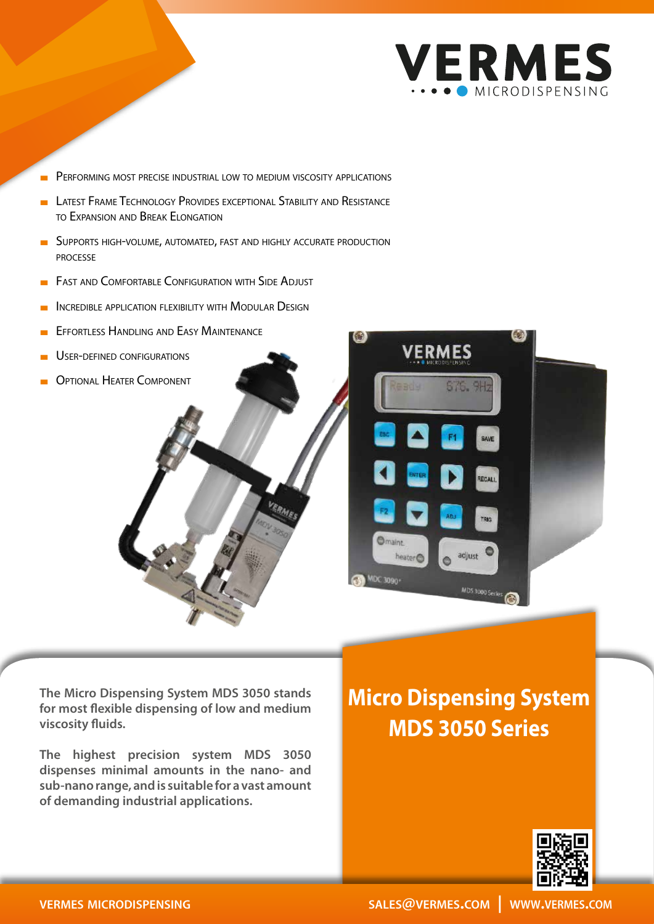

- PERFORMING MOST PRECISE INDUSTRIAL LOW TO MEDIUM VISCOSITY APPLICATIONS
- LATEST FRAME TECHNOLOGY PROVIDES EXCEPTIONAL STABILITY AND RESISTANCE to Expansion and Break Elongation
- **BUPPORTS HIGH-VOLUME, AUTOMATED, FAST AND HIGHLY ACCURATE PRODUCTION** processe
- **EXECUTE AND COMFORTABLE CONFIGURATION WITH SIDE ADJUST**
- INCREDIBLE APPLICATION FLEXIBILITY WITH MODULAR DESIGN
- **EFFORTLESS HANDLING AND EASY MAINTENANCE**
- USER-DEFINED CONFIGURATIONS
- Optional Heater Component

**The Micro Dispensing System MDS 3050 stands for most flexible dispensing of low and medium viscosity fluids.**

**The highest precision system MDS 3050 dispenses minimal amounts in the nano- and sub-nano range, and is suitable for a vast amount of demanding industrial applications.**

## **Micro Dispensing System MDS 3050 Series**

MDS 3000 Ser

**VERMES**